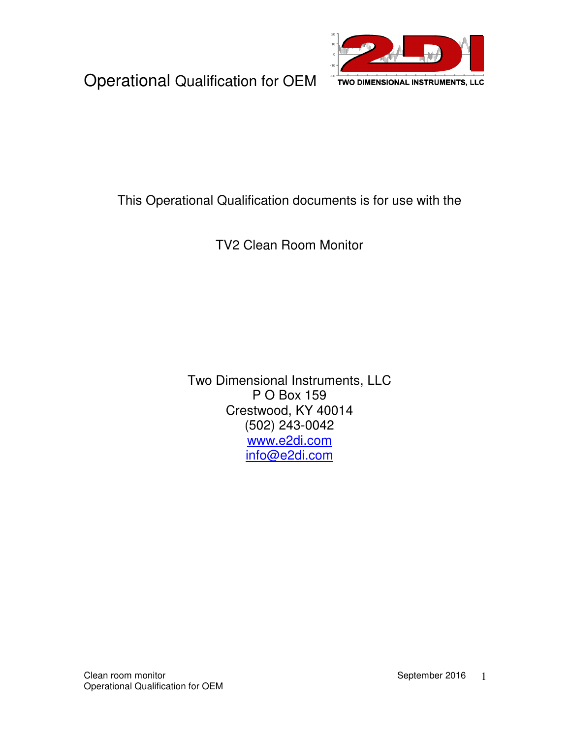

#### This Operational Qualification documents is for use with the

TV2 Clean Room Monitor

Two Dimensional Instruments, LLC P O Box 159 Crestwood, KY 40014 (502) 243-0042 www.e2di.com info@e2di.com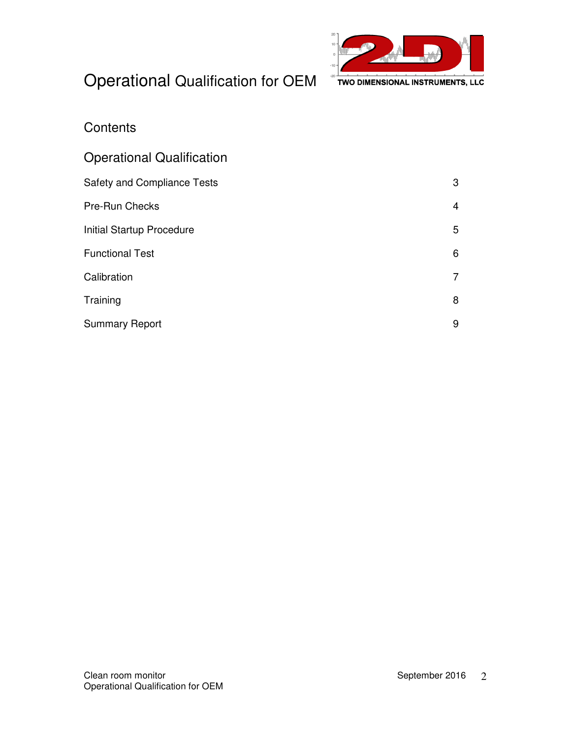

#### **Contents**

| <b>Operational Qualification</b> |   |
|----------------------------------|---|
| Safety and Compliance Tests      | 3 |
| <b>Pre-Run Checks</b>            | 4 |
| <b>Initial Startup Procedure</b> | 5 |
| <b>Functional Test</b>           | 6 |
| Calibration                      |   |
| Training                         | 8 |
| <b>Summary Report</b>            | 9 |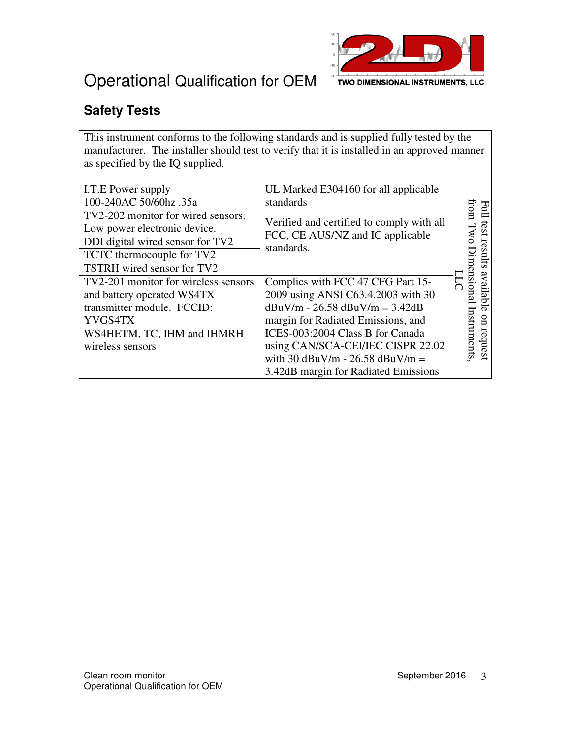

### **Safety Tests**

This instrument conforms to the following standards and is supplied fully tested by the manufacturer. The installer should test to verify that it is installed in an approved manner as specified by the IQ supplied.

| I.T.E Power supply                   | UL Marked E304160 for all applicable           |              |
|--------------------------------------|------------------------------------------------|--------------|
| 100-240AC 50/60hz .35a               | standards                                      | 골            |
| TV2-202 monitor for wired sensors.   |                                                | from         |
| Low power electronic device.         | Verified and certified to comply with all      | test         |
| DDI digital wired sensor for TV2     | FCC, CE AUS/NZ and IC applicable<br>standards. |              |
| TCTC thermocouple for TV2            |                                                | rsa<br>m     |
| TSTRH wired sensor for TV2           |                                                | डा           |
| TV2-201 monitor for wireless sensors | Complies with FCC 47 CFG Part 15-              | ension<br>ăV |
| and battery operated WS4TX           | 2009 using ANSI C63.4.2003 with 30             | ailab        |
| transmitter module. FCCID:           | $dBuV/m - 26.58$ $dBuV/m = 3.42dB$             |              |
| YVGS4TX                              | margin for Radiated Emissions, and             | $_{\rm g}$   |
| WS4HETM, TC, IHM and IHMRH           | ICES-003:2004 Class B for Canada               | struments    |
| wireless sensors                     | using CAN/SCA-CEI/IEC CISPR 22.02              | request      |
|                                      | with 30 $dBuV/m - 26.58$ $dBuV/m =$            |              |
|                                      | 3.42dB margin for Radiated Emissions           |              |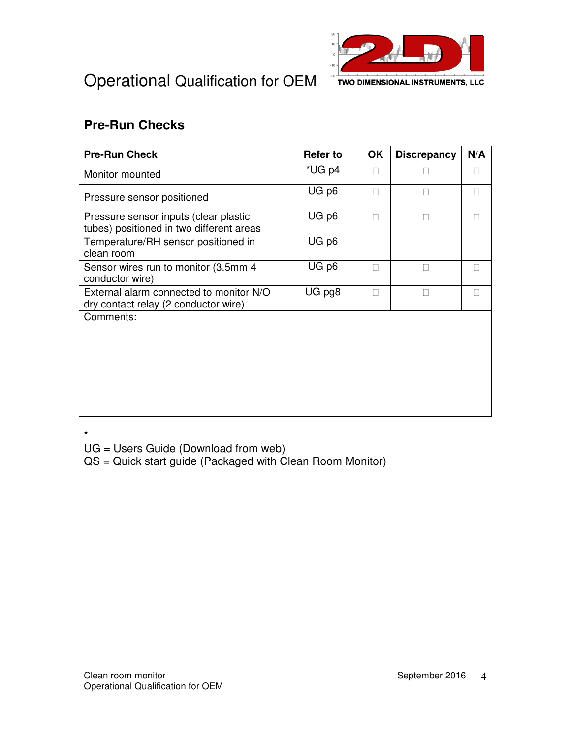



#### **Pre-Run Checks**

| <b>Pre-Run Check</b>                                                              | Refer to | <b>OK</b> | <b>Discrepancy</b> | N/A |
|-----------------------------------------------------------------------------------|----------|-----------|--------------------|-----|
| Monitor mounted                                                                   | *UG p4   |           |                    |     |
| Pressure sensor positioned                                                        | UG p6    |           |                    |     |
| Pressure sensor inputs (clear plastic<br>tubes) positioned in two different areas | UG p6    |           |                    |     |
| Temperature/RH sensor positioned in<br>clean room                                 | UG p6    |           |                    |     |
| Sensor wires run to monitor (3.5mm 4)<br>conductor wire)                          | UG p6    |           |                    |     |
| External alarm connected to monitor N/O<br>dry contact relay (2 conductor wire)   | UG pg8   |           |                    |     |
| Comments:                                                                         |          |           |                    |     |
|                                                                                   |          |           |                    |     |
|                                                                                   |          |           |                    |     |
|                                                                                   |          |           |                    |     |
|                                                                                   |          |           |                    |     |
|                                                                                   |          |           |                    |     |

\*

UG = Users Guide (Download from web)

QS = Quick start guide (Packaged with Clean Room Monitor)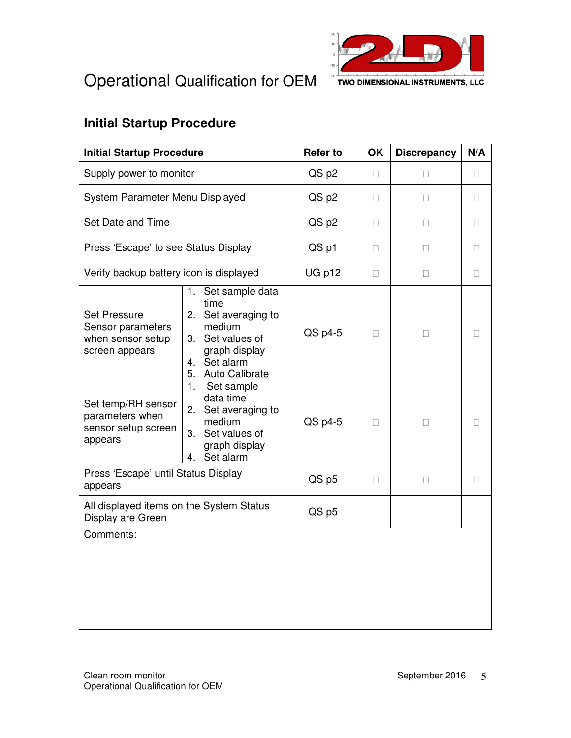



#### **Initial Startup Procedure**

| <b>Initial Startup Procedure</b>                                                |                                                                                                                                             | <b>Refer to</b> | OK | <b>Discrepancy</b> | N/A |
|---------------------------------------------------------------------------------|---------------------------------------------------------------------------------------------------------------------------------------------|-----------------|----|--------------------|-----|
| Supply power to monitor                                                         |                                                                                                                                             | QS p2           |    |                    |     |
| System Parameter Menu Displayed                                                 |                                                                                                                                             | QS p2           |    |                    |     |
| Set Date and Time                                                               |                                                                                                                                             | QS p2           |    |                    |     |
| Press 'Escape' to see Status Display                                            |                                                                                                                                             | QS p1           |    |                    |     |
| Verify backup battery icon is displayed                                         |                                                                                                                                             | UG p12          |    |                    |     |
| <b>Set Pressure</b><br>Sensor parameters<br>when sensor setup<br>screen appears | Set sample data<br>1.<br>time<br>2. Set averaging to<br>medium<br>Set values of<br>3.<br>graph display<br>4. Set alarm<br>5. Auto Calibrate | QS p4-5         |    |                    |     |
| Set temp/RH sensor<br>parameters when<br>sensor setup screen<br>appears         | 1.<br>Set sample<br>data time<br>Set averaging to<br>2.<br>medium<br>Set values of<br>3.<br>graph display<br>Set alarm<br>4.                | QS p4-5         |    |                    |     |
| Press 'Escape' until Status Display<br>appears                                  |                                                                                                                                             | QS p5           |    |                    |     |
| All displayed items on the System Status<br>Display are Green                   |                                                                                                                                             | QS p5           |    |                    |     |
| Comments:                                                                       |                                                                                                                                             |                 |    |                    |     |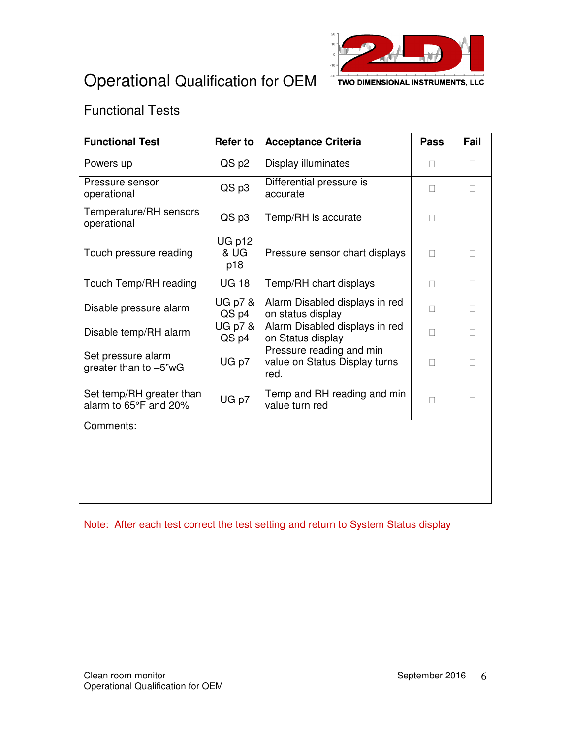



TWO DIMENSIONAL INSTRUMENTS, LLC

#### Functional Tests

| <b>Functional Test</b>                            | <b>Refer to</b>       | <b>Acceptance Criteria</b>                                        | <b>Pass</b> | Fail |
|---------------------------------------------------|-----------------------|-------------------------------------------------------------------|-------------|------|
| Powers up                                         | QS p2                 | Display illuminates                                               |             |      |
| Pressure sensor<br>operational                    | QS p3                 | Differential pressure is<br>accurate                              |             |      |
| Temperature/RH sensors<br>operational             | QS p3                 | Temp/RH is accurate                                               |             |      |
| Touch pressure reading                            | UG p12<br>& UG<br>p18 | Pressure sensor chart displays                                    |             |      |
| Touch Temp/RH reading                             | <b>UG 18</b>          | Temp/RH chart displays                                            |             |      |
| Disable pressure alarm                            | UG p7 &<br>QS p4      | Alarm Disabled displays in red<br>on status display               |             |      |
| Disable temp/RH alarm                             | UG p7 &<br>QS p4      | Alarm Disabled displays in red<br>on Status display               |             |      |
| Set pressure alarm<br>greater than to -5"wG       | UG p7                 | Pressure reading and min<br>value on Status Display turns<br>red. |             |      |
| Set temp/RH greater than<br>alarm to 65°F and 20% | UG p7                 | Temp and RH reading and min<br>value turn red                     |             |      |
| Comments:                                         |                       |                                                                   |             |      |
|                                                   |                       |                                                                   |             |      |
|                                                   |                       |                                                                   |             |      |
|                                                   |                       |                                                                   |             |      |

Note: After each test correct the test setting and return to System Status display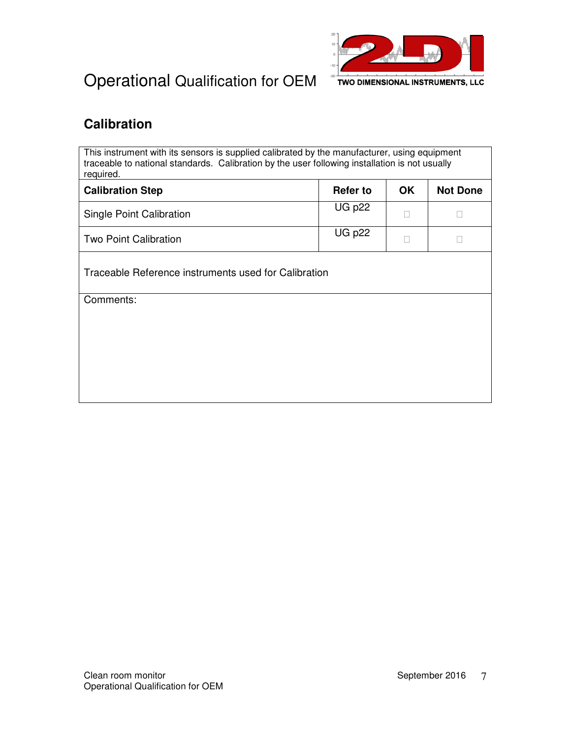

#### **Calibration**

This instrument with its sensors is supplied calibrated by the manufacturer, using equipment traceable to national standards. Calibration by the user following installation is not usually required.

| <b>Calibration Step</b>  | <b>Refer to</b> | OK | <b>Not Done</b> |
|--------------------------|-----------------|----|-----------------|
| Single Point Calibration | $UG$ $p22$      |    |                 |
| Two Point Calibration    | <b>UG p22</b>   |    |                 |

Traceable Reference instruments used for Calibration

Comments: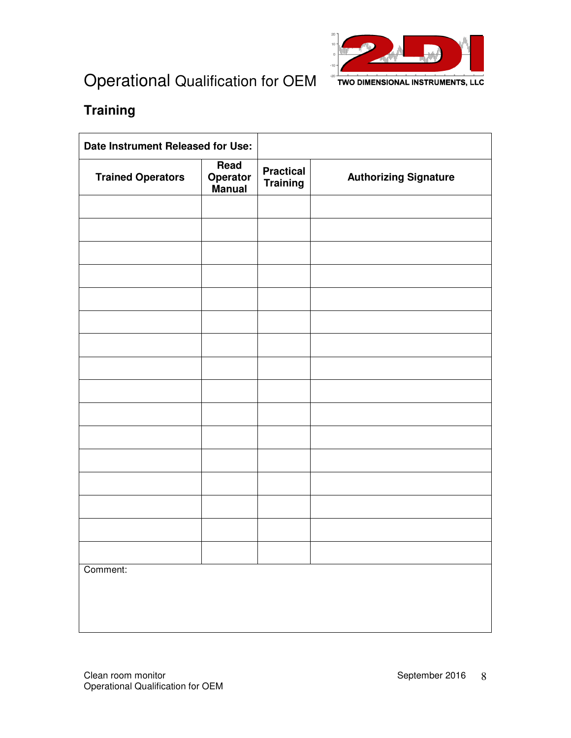

## **Training**

| Date Instrument Released for Use: |                                   |                                     |                              |
|-----------------------------------|-----------------------------------|-------------------------------------|------------------------------|
| <b>Trained Operators</b>          | Read<br><b>Operator</b><br>Manual | <b>Practical</b><br><b>Training</b> | <b>Authorizing Signature</b> |
|                                   |                                   |                                     |                              |
|                                   |                                   |                                     |                              |
|                                   |                                   |                                     |                              |
|                                   |                                   |                                     |                              |
|                                   |                                   |                                     |                              |
|                                   |                                   |                                     |                              |
|                                   |                                   |                                     |                              |
|                                   |                                   |                                     |                              |
|                                   |                                   |                                     |                              |
|                                   |                                   |                                     |                              |
|                                   |                                   |                                     |                              |
|                                   |                                   |                                     |                              |
|                                   |                                   |                                     |                              |
|                                   |                                   |                                     |                              |
|                                   |                                   |                                     |                              |
|                                   |                                   |                                     |                              |
| Comment:                          |                                   |                                     |                              |
|                                   |                                   |                                     |                              |
|                                   |                                   |                                     |                              |
|                                   |                                   |                                     |                              |